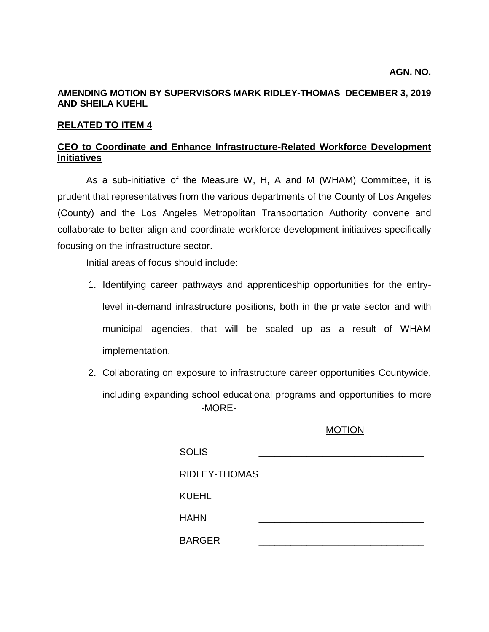## **AMENDING MOTION BY SUPERVISORS MARK RIDLEY-THOMAS DECEMBER 3, 2019 AND SHEILA KUEHL**

### **RELATED TO ITEM 4**

# **CEO to Coordinate and Enhance Infrastructure-Related Workforce Development Initiatives**

As a sub-initiative of the Measure W, H, A and M (WHAM) Committee, it is prudent that representatives from the various departments of the County of Los Angeles (County) and the Los Angeles Metropolitan Transportation Authority convene and collaborate to better align and coordinate workforce development initiatives specifically focusing on the infrastructure sector.

Initial areas of focus should include:

- 1. Identifying career pathways and apprenticeship opportunities for the entrylevel in-demand infrastructure positions, both in the private sector and with municipal agencies, that will be scaled up as a result of WHAM implementation.
- -MORE-2. Collaborating on exposure to infrastructure career opportunities Countywide, including expanding school educational programs and opportunities to more

#### MOTION

| <b>SOLIS</b>       |  |  |
|--------------------|--|--|
| RIDLEY-THOMAS_____ |  |  |
| KUEHL              |  |  |
| <b>HAHN</b>        |  |  |
| <b>BARGER</b>      |  |  |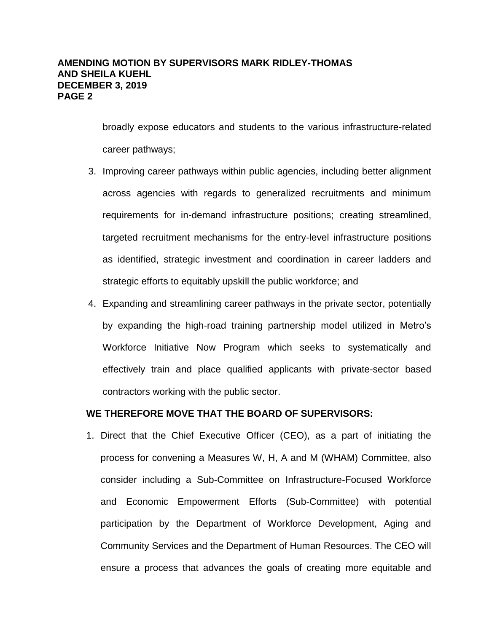## **AMENDING MOTION BY SUPERVISORS MARK RIDLEY-THOMAS AND SHEILA KUEHL DECEMBER 3, 2019 PAGE 2**

broadly expose educators and students to the various infrastructure-related career pathways;

- 3. Improving career pathways within public agencies, including better alignment across agencies with regards to generalized recruitments and minimum requirements for in-demand infrastructure positions; creating streamlined, targeted recruitment mechanisms for the entry-level infrastructure positions as identified, strategic investment and coordination in career ladders and strategic efforts to equitably upskill the public workforce; and
- 4. Expanding and streamlining career pathways in the private sector, potentially by expanding the high-road training partnership model utilized in Metro's Workforce Initiative Now Program which seeks to systematically and effectively train and place qualified applicants with private-sector based contractors working with the public sector.

### **WE THEREFORE MOVE THAT THE BOARD OF SUPERVISORS:**

1. Direct that the Chief Executive Officer (CEO), as a part of initiating the process for convening a Measures W, H, A and M (WHAM) Committee, also consider including a Sub-Committee on Infrastructure-Focused Workforce and Economic Empowerment Efforts (Sub-Committee) with potential participation by the Department of Workforce Development, Aging and Community Services and the Department of Human Resources. The CEO will ensure a process that advances the goals of creating more equitable and